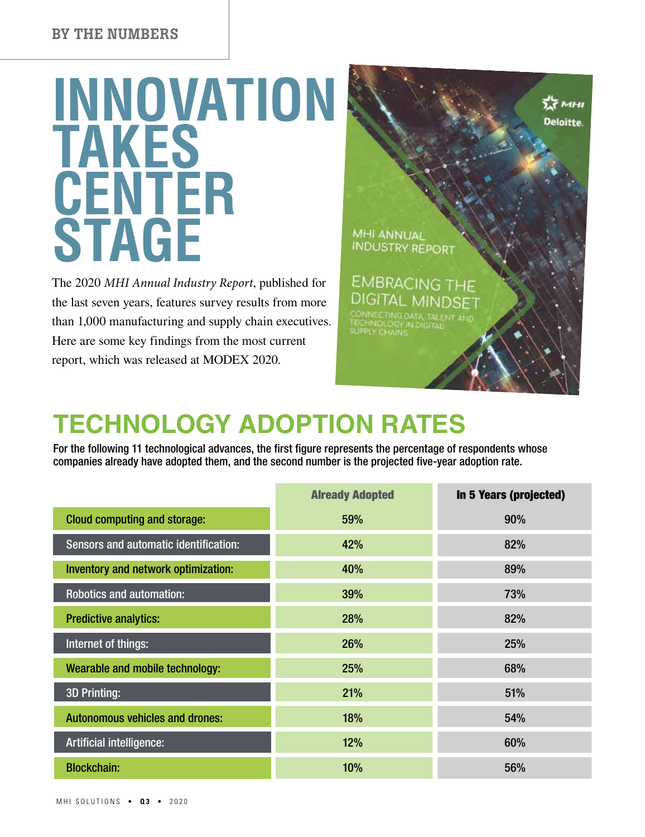# **INNOVATION TAKES CENTER STAGE**

The 2020 *MHI Annual Industry Report*, published for the last seven years, features survey results from more than 1,000 manufacturing and supply chain executives. Here are some key findings from the most current report, which was released at MODEX 2020.



## **TECHNOLOGY ADOPTION RATES**

For the following 11 technological advances, the first figure represents the percentage of respondents whose companies already have adopted them, and the second number is the projected five-year adoption rate.

|                                        | <b>Already Adopted</b> | In 5 Years (projected) |
|----------------------------------------|------------------------|------------------------|
| <b>Cloud computing and storage:</b>    | 59%                    | 90%                    |
| Sensors and automatic identification:  | 42%                    | 82%                    |
| Inventory and network optimization:    | 40%                    | 89%                    |
| <b>Robotics and automation:</b>        | 39%                    | 73%                    |
| <b>Predictive analytics:</b>           | 28%                    | 82%                    |
| Internet of things:                    | 26%                    | 25%                    |
| Wearable and mobile technology:        | 25%                    | 68%                    |
| <b>3D Printing:</b>                    | 21%                    | 51%                    |
| <b>Autonomous vehicles and drones:</b> | 18%                    | 54%                    |
| <b>Artificial intelligence:</b>        | 12%                    | 60%                    |
| <b>Blockchain:</b>                     | 10%                    | 56%                    |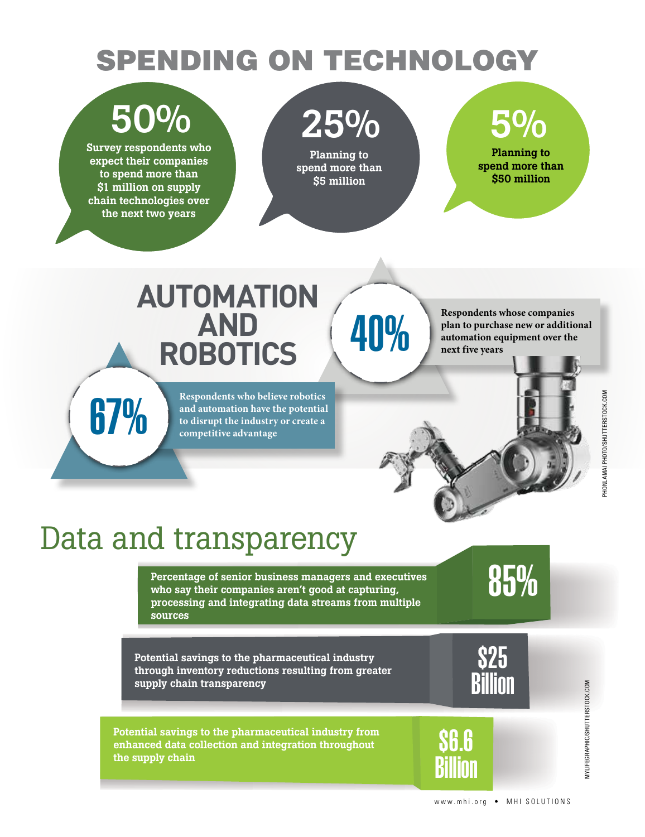## SPENDING ON TECHNOLOGY

## 50%

Survey respondents who expect their companies to spend more than \$1 million on supply chain technologies over the next two years

# 25%

Planning to spend more than \$5 million

## 5%

Planning to spend more than \$50 million

## **AUTOMATION AND ROBOTICS**

Respondents who believe robotics<br>and automation have the potential<br>to disrupt the industry or create a<br>competitive advantage **and automation have the potential to disrupt the industry or create a competitive advantage**

**Respondents whose companies<br>plan to purchase new or additionally plan to purchase new or additionally<br>next five years plan to purchase new or additional automation equipment over the next five years**

## Data and transparency

Percentage of senior business managers and executives<br>who say their companies aren't good at capturing, who say their companies aren't good at capturing, processing and integrating data streams from multiple sources

Potential savings to the pharmaceutical industry through inventory reductions resulting from greater supply chain transparency

Potential savings to the pharmaceutical industry from enhanced data collection and integration throughout the supply chain



\$6.6

Billion

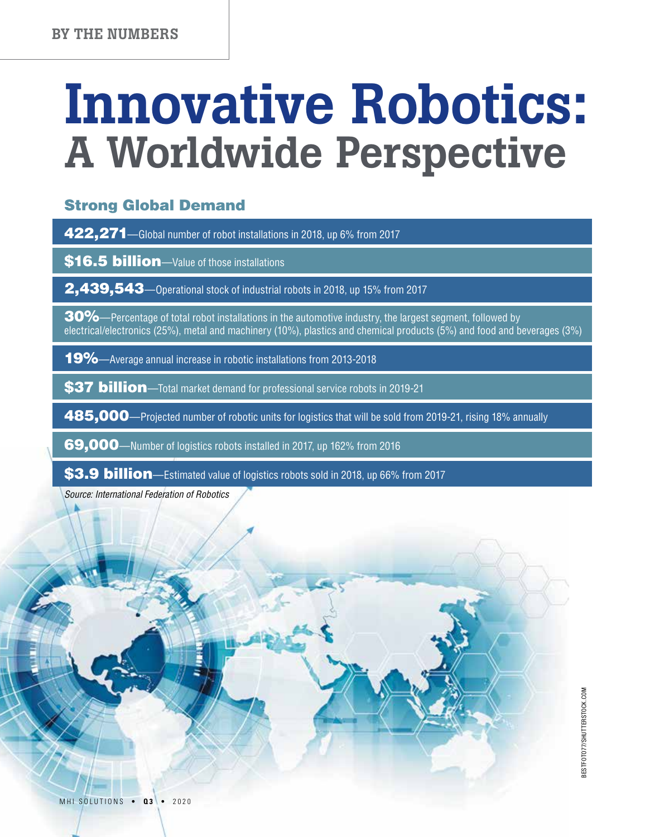# Innovative Robotics: A Worldwide Perspective

#### Strong Global Demand

422,271—Global number of robot installations in 2018, up 6% from 2017

\$16.5 billion—Value of those installations

2,439,543—Operational stock of industrial robots in 2018, up 15% from 2017

 $30\%$ —Percentage of total robot installations in the automotive industry, the largest segment, followed by electrical/electronics (25%), metal and machinery (10%), plastics and chemical products (5%) and food and beverages (3%)

19%—Average annual increase in robotic installations from 2013-2018

\$37 billion—Total market demand for professional service robots in 2019-21

485,000—Projected number of robotic units for logistics that will be sold from 2019-21, rising 18% annually

69,000—Number of logistics robots installed in 2017, up 162% from 2016

\$3.9 billion—Estimated value of logistics robots sold in 2018, up 66% from 2017

*Source: International Federation of Robotics*